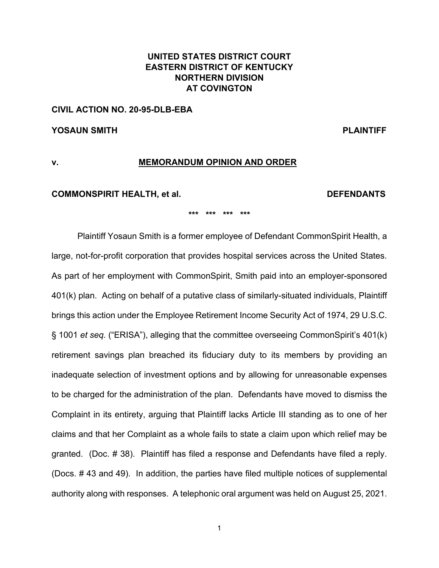# **UNITED STATES DISTRICT COURT EASTERN DISTRICT OF KENTUCKY NORTHERN DIVISION AT COVINGTON**

### **CIVIL ACTION NO. 20-95-DLB-EBA**

**YOSAUN SMITH PLAINTIFF** 

# **v. MEMORANDUM OPINION AND ORDER**

#### **COMMONSPIRIT HEALTH, et al. DEFENDANTS**

**\*\*\* \*\*\* \*\*\* \*\*\***

Plaintiff Yosaun Smith is a former employee of Defendant CommonSpirit Health, a large, not-for-profit corporation that provides hospital services across the United States. As part of her employment with CommonSpirit, Smith paid into an employer-sponsored 401(k) plan. Acting on behalf of a putative class of similarly-situated individuals, Plaintiff brings this action under the Employee Retirement Income Security Act of 1974, 29 U.S.C. § 1001 *et seq.* ("ERISA"), alleging that the committee overseeing CommonSpirit's 401(k) retirement savings plan breached its fiduciary duty to its members by providing an inadequate selection of investment options and by allowing for unreasonable expenses to be charged for the administration of the plan. Defendants have moved to dismiss the Complaint in its entirety, arguing that Plaintiff lacks Article III standing as to one of her claims and that her Complaint as a whole fails to state a claim upon which relief may be granted. (Doc. # 38). Plaintiff has filed a response and Defendants have filed a reply. (Docs. # 43 and 49). In addition, the parties have filed multiple notices of supplemental authority along with responses. A telephonic oral argument was held on August 25, 2021.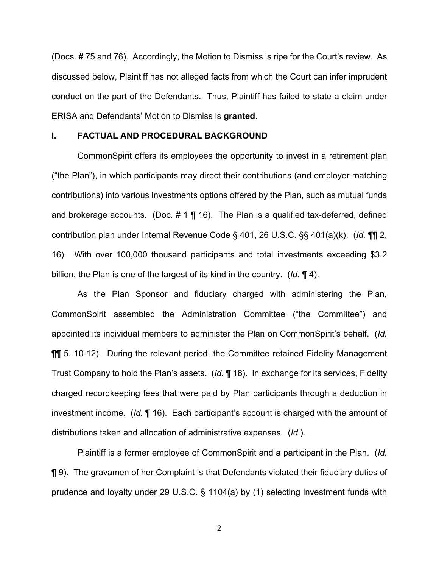(Docs. # 75 and 76). Accordingly, the Motion to Dismiss is ripe for the Court's review. As discussed below, Plaintiff has not alleged facts from which the Court can infer imprudent conduct on the part of the Defendants. Thus, Plaintiff has failed to state a claim under ERISA and Defendants' Motion to Dismiss is **granted**.

### **I. FACTUAL AND PROCEDURAL BACKGROUND**

CommonSpirit offers its employees the opportunity to invest in a retirement plan ("the Plan"), in which participants may direct their contributions (and employer matching contributions) into various investments options offered by the Plan, such as mutual funds and brokerage accounts. (Doc.  $\# 1 \P 16$ ). The Plan is a qualified tax-deferred, defined contribution plan under Internal Revenue Code § 401, 26 U.S.C. §§ 401(a)(k). (*Id.* ¶¶ 2, 16). With over 100,000 thousand participants and total investments exceeding \$3.2 billion, the Plan is one of the largest of its kind in the country. (*Id.* ¶ 4).

As the Plan Sponsor and fiduciary charged with administering the Plan, CommonSpirit assembled the Administration Committee ("the Committee") and appointed its individual members to administer the Plan on CommonSpirit's behalf. (*Id.*  ¶¶ 5, 10-12). During the relevant period, the Committee retained Fidelity Management Trust Company to hold the Plan's assets. (*Id.* ¶ 18). In exchange for its services, Fidelity charged recordkeeping fees that were paid by Plan participants through a deduction in investment income. (*Id.* ¶ 16). Each participant's account is charged with the amount of distributions taken and allocation of administrative expenses. (*Id.*).

Plaintiff is a former employee of CommonSpirit and a participant in the Plan. (*Id.*  ¶ 9). The gravamen of her Complaint is that Defendants violated their fiduciary duties of prudence and loyalty under 29 U.S.C. § 1104(a) by (1) selecting investment funds with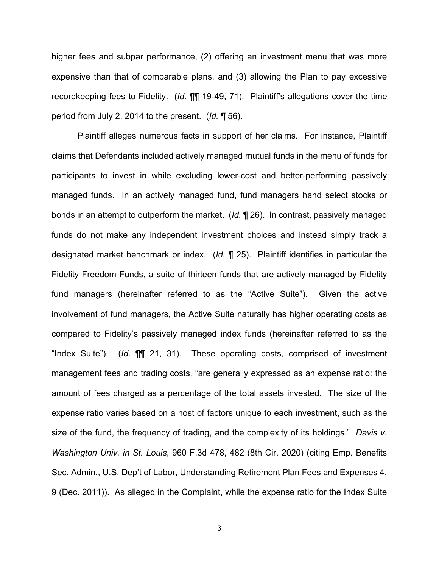higher fees and subpar performance, (2) offering an investment menu that was more expensive than that of comparable plans, and (3) allowing the Plan to pay excessive recordkeeping fees to Fidelity. (*Id.* ¶¶ 19-49, 71). Plaintiff's allegations cover the time period from July 2, 2014 to the present. (*Id.* ¶ 56).

Plaintiff alleges numerous facts in support of her claims. For instance, Plaintiff claims that Defendants included actively managed mutual funds in the menu of funds for participants to invest in while excluding lower-cost and better-performing passively managed funds. In an actively managed fund, fund managers hand select stocks or bonds in an attempt to outperform the market. (*Id.* ¶ 26). In contrast, passively managed funds do not make any independent investment choices and instead simply track a designated market benchmark or index. (*Id.* ¶ 25). Plaintiff identifies in particular the Fidelity Freedom Funds, a suite of thirteen funds that are actively managed by Fidelity fund managers (hereinafter referred to as the "Active Suite"). Given the active involvement of fund managers, the Active Suite naturally has higher operating costs as compared to Fidelity's passively managed index funds (hereinafter referred to as the "Index Suite"). (*Id.* ¶¶ 21, 31). These operating costs, comprised of investment management fees and trading costs, "are generally expressed as an expense ratio: the amount of fees charged as a percentage of the total assets invested. The size of the expense ratio varies based on a host of factors unique to each investment, such as the size of the fund, the frequency of trading, and the complexity of its holdings." *Davis v. Washington Univ. in St. Louis*, 960 F.3d 478, 482 (8th Cir. 2020) (citing Emp. Benefits Sec. Admin., U.S. Dep't of Labor, Understanding Retirement Plan Fees and Expenses 4, 9 (Dec. 2011)). As alleged in the Complaint, while the expense ratio for the Index Suite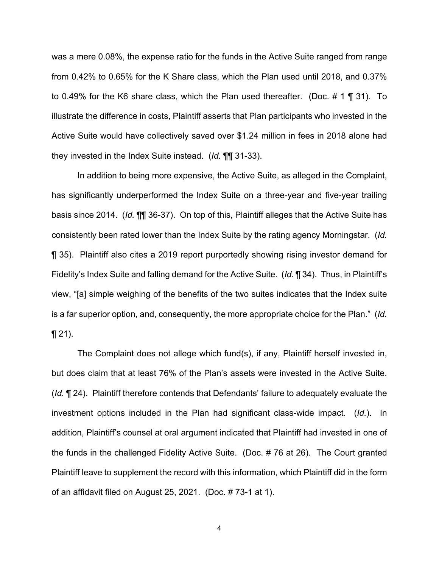was a mere 0.08%, the expense ratio for the funds in the Active Suite ranged from range from 0.42% to 0.65% for the K Share class, which the Plan used until 2018, and 0.37% to 0.49% for the K6 share class, which the Plan used thereafter. (Doc. # 1 ¶ 31). To illustrate the difference in costs, Plaintiff asserts that Plan participants who invested in the Active Suite would have collectively saved over \$1.24 million in fees in 2018 alone had they invested in the Index Suite instead. (*Id.* ¶¶ 31-33).

In addition to being more expensive, the Active Suite, as alleged in the Complaint, has significantly underperformed the Index Suite on a three-year and five-year trailing basis since 2014. (*Id.* ¶¶ 36-37). On top of this, Plaintiff alleges that the Active Suite has consistently been rated lower than the Index Suite by the rating agency Morningstar. (*Id.* ¶ 35). Plaintiff also cites a 2019 report purportedly showing rising investor demand for Fidelity's Index Suite and falling demand for the Active Suite. (*Id.* ¶ 34).Thus, in Plaintiff's view, "[a] simple weighing of the benefits of the two suites indicates that the Index suite is a far superior option, and, consequently, the more appropriate choice for the Plan." (*Id.*  $\P$  21).

The Complaint does not allege which fund(s), if any, Plaintiff herself invested in, but does claim that at least 76% of the Plan's assets were invested in the Active Suite. (*Id.* ¶ 24). Plaintiff therefore contends that Defendants' failure to adequately evaluate the investment options included in the Plan had significant class-wide impact. (*Id.*). In addition, Plaintiff's counsel at oral argument indicated that Plaintiff had invested in one of the funds in the challenged Fidelity Active Suite. (Doc. # 76 at 26). The Court granted Plaintiff leave to supplement the record with this information, which Plaintiff did in the form of an affidavit filed on August 25, 2021. (Doc. # 73-1 at 1).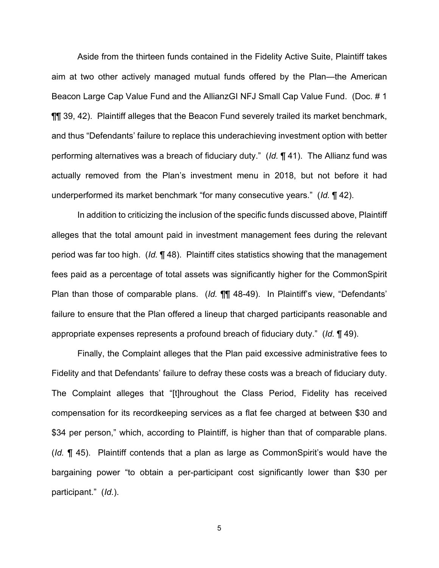Aside from the thirteen funds contained in the Fidelity Active Suite, Plaintiff takes aim at two other actively managed mutual funds offered by the Plan—the American Beacon Large Cap Value Fund and the AllianzGI NFJ Small Cap Value Fund. (Doc. # 1 ¶¶ 39, 42). Plaintiff alleges that the Beacon Fund severely trailed its market benchmark, and thus "Defendants' failure to replace this underachieving investment option with better performing alternatives was a breach of fiduciary duty." (*Id.* ¶ 41). The Allianz fund was actually removed from the Plan's investment menu in 2018, but not before it had underperformed its market benchmark "for many consecutive years." (*Id.* ¶ 42).

In addition to criticizing the inclusion of the specific funds discussed above, Plaintiff alleges that the total amount paid in investment management fees during the relevant period was far too high. (*Id.* ¶ 48). Plaintiff cites statistics showing that the management fees paid as a percentage of total assets was significantly higher for the CommonSpirit Plan than those of comparable plans. (*Id.* ¶¶ 48-49). In Plaintiff's view, "Defendants' failure to ensure that the Plan offered a lineup that charged participants reasonable and appropriate expenses represents a profound breach of fiduciary duty." (*Id.* ¶ 49).

Finally, the Complaint alleges that the Plan paid excessive administrative fees to Fidelity and that Defendants' failure to defray these costs was a breach of fiduciary duty. The Complaint alleges that "[t]hroughout the Class Period, Fidelity has received compensation for its recordkeeping services as a flat fee charged at between \$30 and \$34 per person," which, according to Plaintiff, is higher than that of comparable plans. (*Id.* ¶ 45). Plaintiff contends that a plan as large as CommonSpirit's would have the bargaining power "to obtain a per-participant cost significantly lower than \$30 per participant." (*Id.*).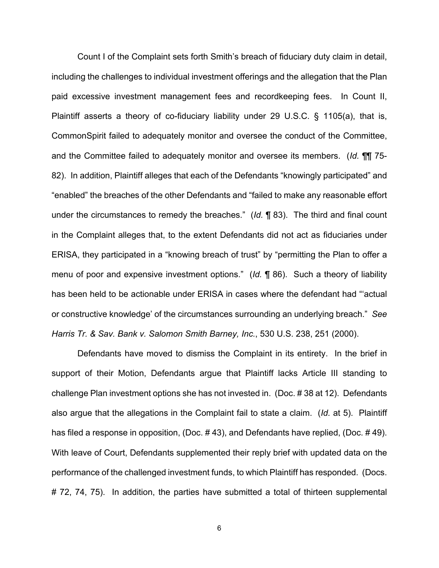Count I of the Complaint sets forth Smith's breach of fiduciary duty claim in detail, including the challenges to individual investment offerings and the allegation that the Plan paid excessive investment management fees and recordkeeping fees. In Count II, Plaintiff asserts a theory of co-fiduciary liability under 29 U.S.C. § 1105(a), that is, CommonSpirit failed to adequately monitor and oversee the conduct of the Committee, and the Committee failed to adequately monitor and oversee its members. (*Id.* ¶¶ 75- 82). In addition, Plaintiff alleges that each of the Defendants "knowingly participated" and "enabled" the breaches of the other Defendants and "failed to make any reasonable effort under the circumstances to remedy the breaches." (*Id.* ¶ 83). The third and final count in the Complaint alleges that, to the extent Defendants did not act as fiduciaries under ERISA, they participated in a "knowing breach of trust" by "permitting the Plan to offer a menu of poor and expensive investment options." (*Id.* ¶ 86). Such a theory of liability has been held to be actionable under ERISA in cases where the defendant had "'actual or constructive knowledge' of the circumstances surrounding an underlying breach." *See Harris Tr. & Sav. Bank v. Salomon Smith Barney, Inc.*, 530 U.S. 238, 251 (2000).

Defendants have moved to dismiss the Complaint in its entirety. In the brief in support of their Motion, Defendants argue that Plaintiff lacks Article III standing to challenge Plan investment options she has not invested in. (Doc. # 38 at 12). Defendants also argue that the allegations in the Complaint fail to state a claim. (*Id.* at 5). Plaintiff has filed a response in opposition, (Doc. # 43), and Defendants have replied, (Doc. # 49). With leave of Court, Defendants supplemented their reply brief with updated data on the performance of the challenged investment funds, to which Plaintiff has responded. (Docs. # 72, 74, 75). In addition, the parties have submitted a total of thirteen supplemental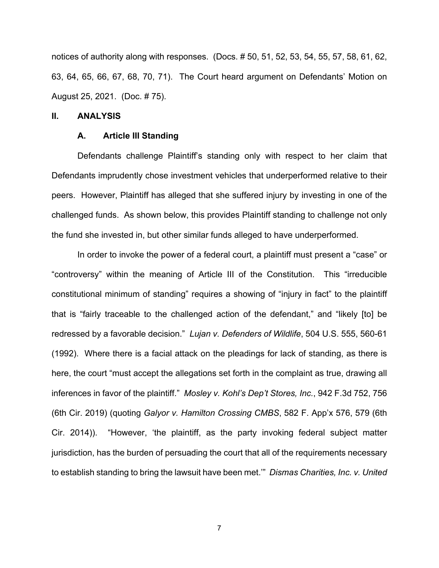notices of authority along with responses. (Docs. # 50, 51, 52, 53, 54, 55, 57, 58, 61, 62, 63, 64, 65, 66, 67, 68, 70, 71). The Court heard argument on Defendants' Motion on August 25, 2021. (Doc. # 75).

#### **II. ANALYSIS**

#### **A. Article III Standing**

 Defendants challenge Plaintiff's standing only with respect to her claim that Defendants imprudently chose investment vehicles that underperformed relative to their peers. However, Plaintiff has alleged that she suffered injury by investing in one of the challenged funds. As shown below, this provides Plaintiff standing to challenge not only the fund she invested in, but other similar funds alleged to have underperformed.

In order to invoke the power of a federal court, a plaintiff must present a "case" or "controversy" within the meaning of Article III of the Constitution. This "irreducible constitutional minimum of standing" requires a showing of "injury in fact" to the plaintiff that is "fairly traceable to the challenged action of the defendant," and "likely [to] be redressed by a favorable decision." *Lujan v. Defenders of Wildlife*, 504 U.S. 555, 560-61 (1992). Where there is a facial attack on the pleadings for lack of standing, as there is here, the court "must accept the allegations set forth in the complaint as true, drawing all inferences in favor of the plaintiff." *Mosley v. Kohl's Dep't Stores, Inc.*, 942 F.3d 752, 756 (6th Cir. 2019) (quoting *Galyor v. Hamilton Crossing CMBS*, 582 F. App'x 576, 579 (6th Cir. 2014)). "However, 'the plaintiff, as the party invoking federal subject matter jurisdiction, has the burden of persuading the court that all of the requirements necessary to establish standing to bring the lawsuit have been met.'" *Dismas Charities, Inc. v. United*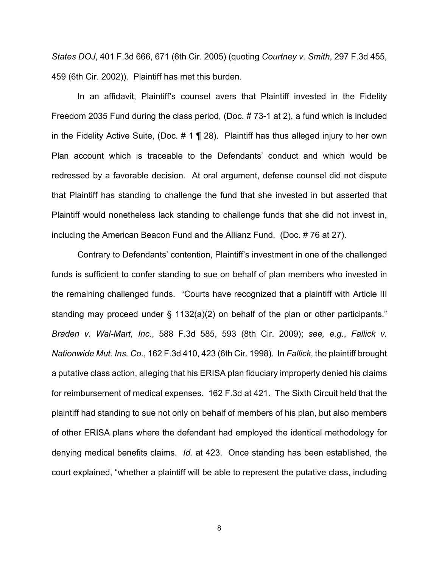*States DOJ*, 401 F.3d 666, 671 (6th Cir. 2005) (quoting *Courtney v. Smith*, 297 F.3d 455, 459 (6th Cir. 2002)). Plaintiff has met this burden.

In an affidavit, Plaintiff's counsel avers that Plaintiff invested in the Fidelity Freedom 2035 Fund during the class period, (Doc. # 73-1 at 2), a fund which is included in the Fidelity Active Suite, (Doc.  $\# 1 \P 28$ ). Plaintiff has thus alleged injury to her own Plan account which is traceable to the Defendants' conduct and which would be redressed by a favorable decision. At oral argument, defense counsel did not dispute that Plaintiff has standing to challenge the fund that she invested in but asserted that Plaintiff would nonetheless lack standing to challenge funds that she did not invest in, including the American Beacon Fund and the Allianz Fund. (Doc. # 76 at 27).

Contrary to Defendants' contention, Plaintiff's investment in one of the challenged funds is sufficient to confer standing to sue on behalf of plan members who invested in the remaining challenged funds. "Courts have recognized that a plaintiff with Article III standing may proceed under § 1132(a)(2) on behalf of the plan or other participants." *Braden v. Wal-Mart, Inc.*, 588 F.3d 585, 593 (8th Cir. 2009); *see, e.g.*, *Fallick v. Nationwide Mut. Ins. Co.*, 162 F.3d 410, 423 (6th Cir. 1998). In *Fallick*, the plaintiff brought a putative class action, alleging that his ERISA plan fiduciary improperly denied his claims for reimbursement of medical expenses. 162 F.3d at 421. The Sixth Circuit held that the plaintiff had standing to sue not only on behalf of members of his plan, but also members of other ERISA plans where the defendant had employed the identical methodology for denying medical benefits claims. *Id.* at 423. Once standing has been established, the court explained, "whether a plaintiff will be able to represent the putative class, including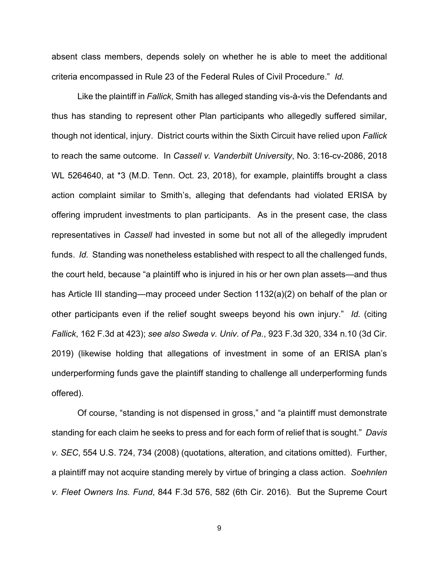absent class members, depends solely on whether he is able to meet the additional criteria encompassed in Rule 23 of the Federal Rules of Civil Procedure." *Id.* 

 Like the plaintiff in *Fallick*, Smith has alleged standing vis-à-vis the Defendants and thus has standing to represent other Plan participants who allegedly suffered similar, though not identical, injury. District courts within the Sixth Circuit have relied upon *Fallick*  to reach the same outcome. In *Cassell v. Vanderbilt University*, No. 3:16-cv-2086, 2018 WL 5264640, at \*3 (M.D. Tenn. Oct. 23, 2018), for example, plaintiffs brought a class action complaint similar to Smith's, alleging that defendants had violated ERISA by offering imprudent investments to plan participants. As in the present case, the class representatives in *Cassell* had invested in some but not all of the allegedly imprudent funds. *Id.* Standing was nonetheless established with respect to all the challenged funds, the court held, because "a plaintiff who is injured in his or her own plan assets—and thus has Article III standing—may proceed under Section 1132(a)(2) on behalf of the plan or other participants even if the relief sought sweeps beyond his own injury." *Id.* (citing *Fallick*, 162 F.3d at 423); *see also Sweda v. Univ. of Pa.*, 923 F.3d 320, 334 n.10 (3d Cir. 2019) (likewise holding that allegations of investment in some of an ERISA plan's underperforming funds gave the plaintiff standing to challenge all underperforming funds offered).

 Of course, "standing is not dispensed in gross," and "a plaintiff must demonstrate standing for each claim he seeks to press and for each form of relief that is sought." *Davis v. SEC*, 554 U.S. 724, 734 (2008) (quotations, alteration, and citations omitted). Further, a plaintiff may not acquire standing merely by virtue of bringing a class action. *Soehnlen v. Fleet Owners Ins. Fund*, 844 F.3d 576, 582 (6th Cir. 2016). But the Supreme Court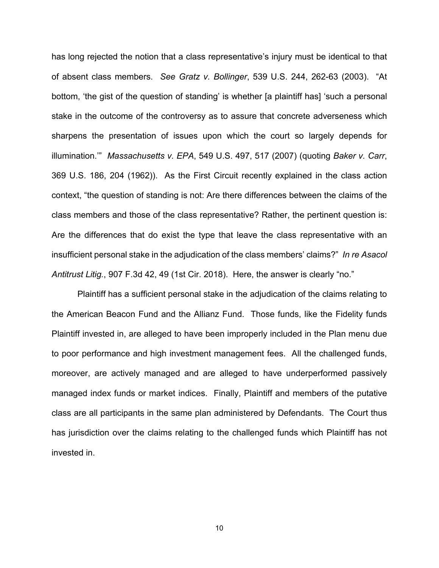has long rejected the notion that a class representative's injury must be identical to that of absent class members. *See Gratz v. Bollinger*, 539 U.S. 244, 262-63 (2003). "At bottom, 'the gist of the question of standing' is whether [a plaintiff has] 'such a personal stake in the outcome of the controversy as to assure that concrete adverseness which sharpens the presentation of issues upon which the court so largely depends for illumination.'" *Massachusetts v. EPA*, 549 U.S. 497, 517 (2007) (quoting *Baker v. Carr*, 369 U.S. 186, 204 (1962)). As the First Circuit recently explained in the class action context, "the question of standing is not: Are there differences between the claims of the class members and those of the class representative? Rather, the pertinent question is: Are the differences that do exist the type that leave the class representative with an insufficient personal stake in the adjudication of the class members' claims?" *In re Asacol Antitrust Litig.*, 907 F.3d 42, 49 (1st Cir. 2018). Here, the answer is clearly "no."

Plaintiff has a sufficient personal stake in the adjudication of the claims relating to the American Beacon Fund and the Allianz Fund. Those funds, like the Fidelity funds Plaintiff invested in, are alleged to have been improperly included in the Plan menu due to poor performance and high investment management fees. All the challenged funds, moreover, are actively managed and are alleged to have underperformed passively managed index funds or market indices. Finally, Plaintiff and members of the putative class are all participants in the same plan administered by Defendants. The Court thus has jurisdiction over the claims relating to the challenged funds which Plaintiff has not invested in.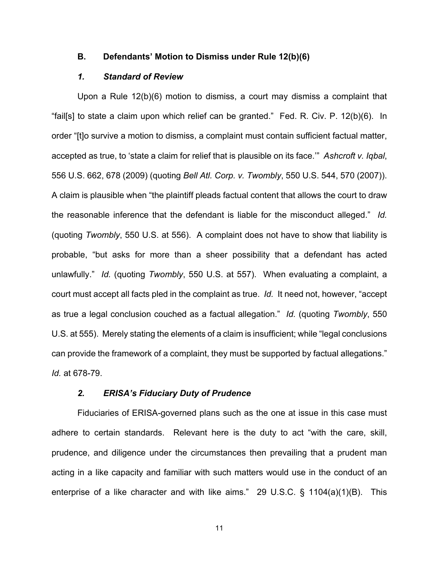#### **B. Defendants' Motion to Dismiss under Rule 12(b)(6)**

#### *1. Standard of Review*

Upon a Rule 12(b)(6) motion to dismiss, a court may dismiss a complaint that "fail[s] to state a claim upon which relief can be granted." Fed. R. Civ. P. 12(b)(6). In order "[t]o survive a motion to dismiss, a complaint must contain sufficient factual matter, accepted as true, to 'state a claim for relief that is plausible on its face.'" *Ashcroft v. Iqbal*, 556 U.S. 662, 678 (2009) (quoting *Bell Atl. Corp. v. Twombly*, 550 U.S. 544, 570 (2007)). A claim is plausible when "the plaintiff pleads factual content that allows the court to draw the reasonable inference that the defendant is liable for the misconduct alleged." *Id.*  (quoting *Twombly*, 550 U.S. at 556). A complaint does not have to show that liability is probable, "but asks for more than a sheer possibility that a defendant has acted unlawfully." *Id.* (quoting *Twombly*, 550 U.S. at 557). When evaluating a complaint, a court must accept all facts pled in the complaint as true. *Id.* It need not, however, "accept as true a legal conclusion couched as a factual allegation." *Id.* (quoting *Twombly*, 550 U.S. at 555). Merely stating the elements of a claim is insufficient; while "legal conclusions can provide the framework of a complaint, they must be supported by factual allegations." *Id.* at 678-79.

#### *2. ERISA's Fiduciary Duty of Prudence*

Fiduciaries of ERISA-governed plans such as the one at issue in this case must adhere to certain standards. Relevant here is the duty to act "with the care, skill, prudence, and diligence under the circumstances then prevailing that a prudent man acting in a like capacity and familiar with such matters would use in the conduct of an enterprise of a like character and with like aims." 29 U.S.C. § 1104(a)(1)(B). This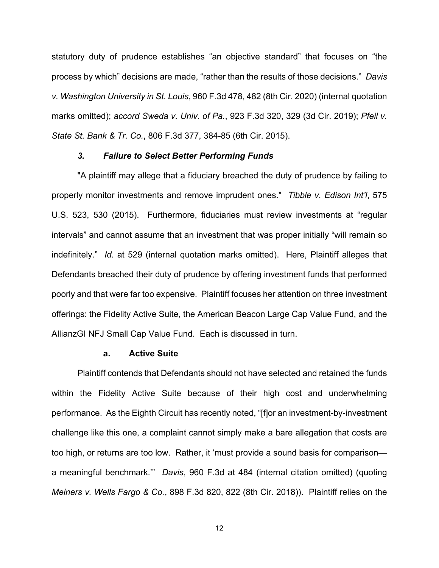statutory duty of prudence establishes "an objective standard" that focuses on "the process by which" decisions are made, "rather than the results of those decisions." *Davis v. Washington University in St. Louis*, 960 F.3d 478, 482 (8th Cir. 2020) (internal quotation marks omitted); *accord Sweda v. Univ. of Pa.*, 923 F.3d 320, 329 (3d Cir. 2019); *Pfeil v. State St. Bank & Tr. Co.*, 806 F.3d 377, 384-85 (6th Cir. 2015).

#### *3. Failure to Select Better Performing Funds*

"A plaintiff may allege that a fiduciary breached the duty of prudence by failing to properly monitor investments and remove imprudent ones." *Tibble v. Edison Int'l*, 575 U.S. 523, 530 (2015). Furthermore, fiduciaries must review investments at "regular intervals" and cannot assume that an investment that was proper initially "will remain so indefinitely." *Id.* at 529 (internal quotation marks omitted). Here, Plaintiff alleges that Defendants breached their duty of prudence by offering investment funds that performed poorly and that were far too expensive. Plaintiff focuses her attention on three investment offerings: the Fidelity Active Suite, the American Beacon Large Cap Value Fund, and the AllianzGI NFJ Small Cap Value Fund. Each is discussed in turn.

#### **a. Active Suite**

Plaintiff contends that Defendants should not have selected and retained the funds within the Fidelity Active Suite because of their high cost and underwhelming performance. As the Eighth Circuit has recently noted, "[f]or an investment-by-investment challenge like this one, a complaint cannot simply make a bare allegation that costs are too high, or returns are too low. Rather, it 'must provide a sound basis for comparison a meaningful benchmark.'" *Davis*, 960 F.3d at 484 (internal citation omitted) (quoting *Meiners v. Wells Fargo & Co.*, 898 F.3d 820, 822 (8th Cir. 2018)). Plaintiff relies on the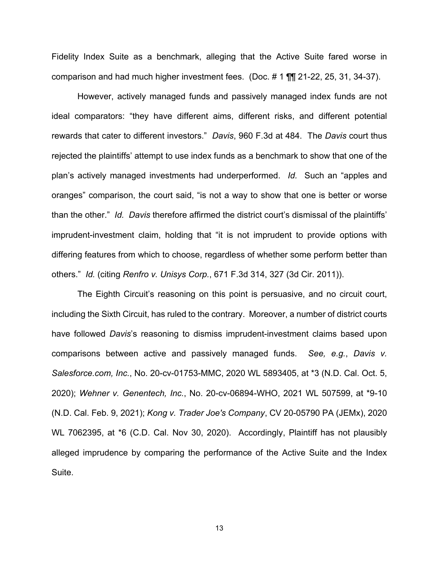Fidelity Index Suite as a benchmark, alleging that the Active Suite fared worse in comparison and had much higher investment fees. (Doc. # 1 ¶¶ 21-22, 25, 31, 34-37).

However, actively managed funds and passively managed index funds are not ideal comparators: "they have different aims, different risks, and different potential rewards that cater to different investors." *Davis*, 960 F.3d at 484. The *Davis* court thus rejected the plaintiffs' attempt to use index funds as a benchmark to show that one of the plan's actively managed investments had underperformed. *Id.* Such an "apples and oranges" comparison, the court said, "is not a way to show that one is better or worse than the other." *Id. Davis* therefore affirmed the district court's dismissal of the plaintiffs' imprudent-investment claim, holding that "it is not imprudent to provide options with differing features from which to choose, regardless of whether some perform better than others." *Id.* (citing *Renfro v. Unisys Corp.*, 671 F.3d 314, 327 (3d Cir. 2011)).

The Eighth Circuit's reasoning on this point is persuasive, and no circuit court, including the Sixth Circuit, has ruled to the contrary. Moreover, a number of district courts have followed *Davis*'s reasoning to dismiss imprudent-investment claims based upon comparisons between active and passively managed funds. *See, e.g.*, *Davis v. Salesforce.com, Inc.*, No. 20-cv-01753-MMC, 2020 WL 5893405, at \*3 (N.D. Cal. Oct. 5, 2020); *Wehner v. Genentech, Inc.*, No. 20-cv-06894-WHO, 2021 WL 507599, at \*9-10 (N.D. Cal. Feb. 9, 2021); *Kong v. Trader Joe's Company*, CV 20-05790 PA (JEMx), 2020 WL 7062395, at \*6 (C.D. Cal. Nov 30, 2020). Accordingly, Plaintiff has not plausibly alleged imprudence by comparing the performance of the Active Suite and the Index Suite.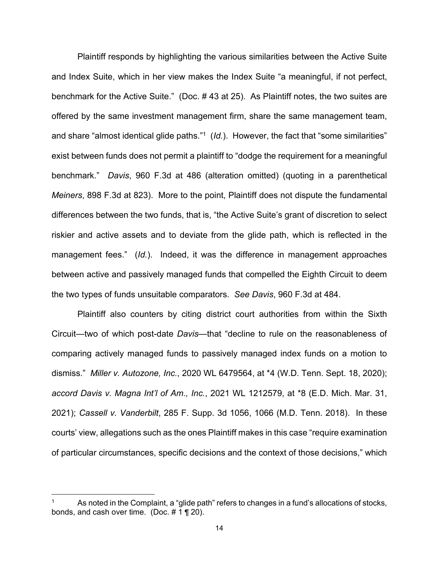Plaintiff responds by highlighting the various similarities between the Active Suite and Index Suite, which in her view makes the Index Suite "a meaningful, if not perfect, benchmark for the Active Suite." (Doc. # 43 at 25). As Plaintiff notes, the two suites are offered by the same investment management firm, share the same management team, and share "almost identical glide paths."<sup>1</sup> (*Id.*). However, the fact that "some similarities" exist between funds does not permit a plaintiff to "dodge the requirement for a meaningful benchmark." *Davis*, 960 F.3d at 486 (alteration omitted) (quoting in a parenthetical *Meiners*, 898 F.3d at 823). More to the point, Plaintiff does not dispute the fundamental differences between the two funds, that is, "the Active Suite's grant of discretion to select riskier and active assets and to deviate from the glide path, which is reflected in the management fees." (*Id.*). Indeed, it was the difference in management approaches between active and passively managed funds that compelled the Eighth Circuit to deem the two types of funds unsuitable comparators. *See Davis*, 960 F.3d at 484.

 Plaintiff also counters by citing district court authorities from within the Sixth Circuit—two of which post-date *Davis—*that "decline to rule on the reasonableness of comparing actively managed funds to passively managed index funds on a motion to dismiss." *Miller v. Autozone, Inc.*, 2020 WL 6479564, at \*4 (W.D. Tenn. Sept. 18, 2020); *accord Davis v. Magna Int'l of Am., Inc.*, 2021 WL 1212579, at \*8 (E.D. Mich. Mar. 31, 2021); *Cassell v. Vanderbilt*, 285 F. Supp. 3d 1056, 1066 (M.D. Tenn. 2018). In these courts' view, allegations such as the ones Plaintiff makes in this case "require examination of particular circumstances, specific decisions and the context of those decisions," which

As noted in the Complaint, a "glide path" refers to changes in a fund's allocations of stocks, bonds, and cash over time. (Doc. # 1 ¶ 20).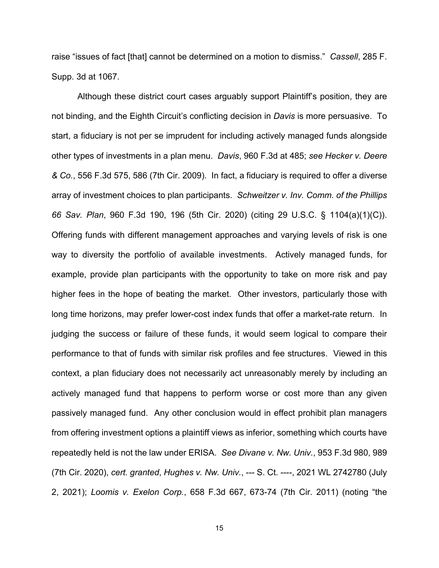raise "issues of fact [that] cannot be determined on a motion to dismiss." *Cassell*, 285 F. Supp. 3d at 1067.

 Although these district court cases arguably support Plaintiff's position, they are not binding, and the Eighth Circuit's conflicting decision in *Davis* is more persuasive. To start, a fiduciary is not per se imprudent for including actively managed funds alongside other types of investments in a plan menu. *Davis*, 960 F.3d at 485; *see Hecker v. Deere & Co.*, 556 F.3d 575, 586 (7th Cir. 2009). In fact, a fiduciary is required to offer a diverse array of investment choices to plan participants. *Schweitzer v. Inv. Comm. of the Phillips 66 Sav. Plan*, 960 F.3d 190, 196 (5th Cir. 2020) (citing 29 U.S.C. § 1104(a)(1)(C)). Offering funds with different management approaches and varying levels of risk is one way to diversity the portfolio of available investments. Actively managed funds, for example, provide plan participants with the opportunity to take on more risk and pay higher fees in the hope of beating the market. Other investors, particularly those with long time horizons, may prefer lower-cost index funds that offer a market-rate return. In judging the success or failure of these funds, it would seem logical to compare their performance to that of funds with similar risk profiles and fee structures. Viewed in this context, a plan fiduciary does not necessarily act unreasonably merely by including an actively managed fund that happens to perform worse or cost more than any given passively managed fund. Any other conclusion would in effect prohibit plan managers from offering investment options a plaintiff views as inferior, something which courts have repeatedly held is not the law under ERISA. *See Divane v. Nw. Univ.*, 953 F.3d 980, 989 (7th Cir. 2020), *cert. granted*, *Hughes v. Nw. Univ.*, --- S. Ct. ----, 2021 WL 2742780 (July 2, 2021); *Loomis v. Exelon Corp.*, 658 F.3d 667, 673-74 (7th Cir. 2011) (noting "the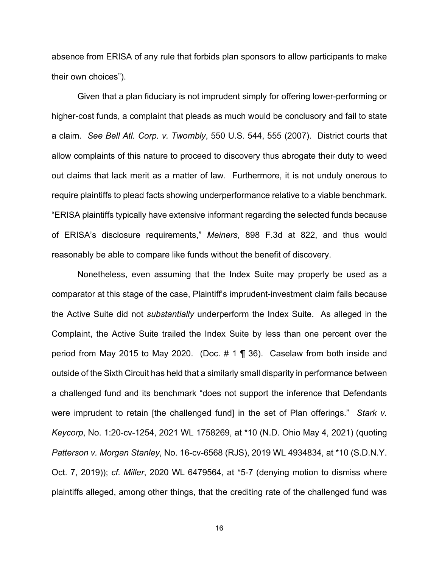absence from ERISA of any rule that forbids plan sponsors to allow participants to make their own choices").

 Given that a plan fiduciary is not imprudent simply for offering lower-performing or higher-cost funds, a complaint that pleads as much would be conclusory and fail to state a claim. *See Bell Atl. Corp. v. Twombly*, 550 U.S. 544, 555 (2007). District courts that allow complaints of this nature to proceed to discovery thus abrogate their duty to weed out claims that lack merit as a matter of law. Furthermore, it is not unduly onerous to require plaintiffs to plead facts showing underperformance relative to a viable benchmark. "ERISA plaintiffs typically have extensive informant regarding the selected funds because of ERISA's disclosure requirements," *Meiners*, 898 F.3d at 822, and thus would reasonably be able to compare like funds without the benefit of discovery.

Nonetheless, even assuming that the Index Suite may properly be used as a comparator at this stage of the case, Plaintiff's imprudent-investment claim fails because the Active Suite did not *substantially* underperform the Index Suite. As alleged in the Complaint, the Active Suite trailed the Index Suite by less than one percent over the period from May 2015 to May 2020. (Doc. # 1 ¶ 36). Caselaw from both inside and outside of the Sixth Circuit has held that a similarly small disparity in performance between a challenged fund and its benchmark "does not support the inference that Defendants were imprudent to retain [the challenged fund] in the set of Plan offerings." *Stark v. Keycorp*, No. 1:20-cv-1254, 2021 WL 1758269, at \*10 (N.D. Ohio May 4, 2021) (quoting *Patterson v. Morgan Stanley*, No. 16-cv-6568 (RJS), 2019 WL 4934834, at \*10 (S.D.N.Y. Oct. 7, 2019)); *cf. Miller*, 2020 WL 6479564, at \*5-7 (denying motion to dismiss where plaintiffs alleged, among other things, that the crediting rate of the challenged fund was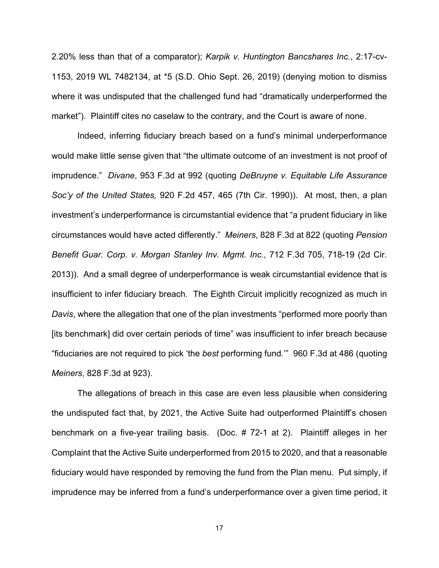2.20% less than that of a comparator); *Karpik v. Huntington Bancshares Inc.*, 2:17-cv-1153, 2019 WL 7482134, at \*5 (S.D. Ohio Sept. 26, 2019) (denying motion to dismiss where it was undisputed that the challenged fund had "dramatically underperformed the market"). Plaintiff cites no caselaw to the contrary, and the Court is aware of none.

 Indeed, inferring fiduciary breach based on a fund's minimal underperformance would make little sense given that "the ultimate outcome of an investment is not proof of imprudence." *Divane*, 953 F.3d at 992 (quoting *DeBruyne v. Equitable Life Assurance Soc'y of the United States,* 920 F.2d 457, 465 (7th Cir. 1990)). At most, then, a plan investment's underperformance is circumstantial evidence that "a prudent fiduciary in like circumstances would have acted differently." *Meiners*, 828 F.3d at 822 (quoting *Pension Benefit Guar. Corp. v. Morgan Stanley Inv. Mgmt. Inc.*, 712 F.3d 705, 718-19 (2d Cir. 2013)). And a small degree of underperformance is weak circumstantial evidence that is insufficient to infer fiduciary breach. The Eighth Circuit implicitly recognized as much in *Davis*, where the allegation that one of the plan investments "performed more poorly than [its benchmark] did over certain periods of time" was insufficient to infer breach because "fiduciaries are not required to pick 'the *best* performing fund.'" 960 F.3d at 486 (quoting *Meiners*, 828 F.3d at 923).

The allegations of breach in this case are even less plausible when considering the undisputed fact that, by 2021, the Active Suite had outperformed Plaintiff's chosen benchmark on a five-year trailing basis. (Doc. # 72-1 at 2). Plaintiff alleges in her Complaint that the Active Suite underperformed from 2015 to 2020, and that a reasonable fiduciary would have responded by removing the fund from the Plan menu. Put simply, if imprudence may be inferred from a fund's underperformance over a given time period, it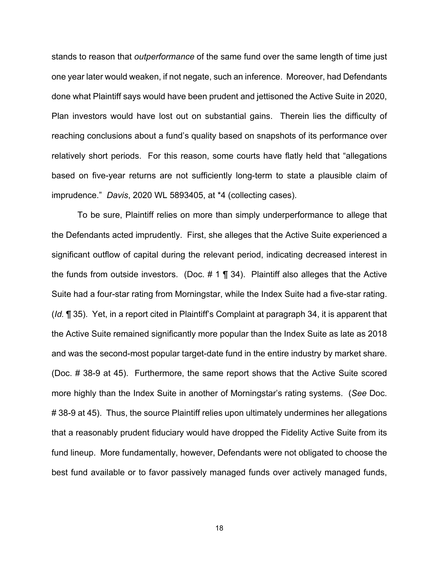stands to reason that *outperformance* of the same fund over the same length of time just one year later would weaken, if not negate, such an inference. Moreover, had Defendants done what Plaintiff says would have been prudent and jettisoned the Active Suite in 2020, Plan investors would have lost out on substantial gains. Therein lies the difficulty of reaching conclusions about a fund's quality based on snapshots of its performance over relatively short periods. For this reason, some courts have flatly held that "allegations based on five-year returns are not sufficiently long-term to state a plausible claim of imprudence." *Davis*, 2020 WL 5893405, at \*4 (collecting cases).

 To be sure, Plaintiff relies on more than simply underperformance to allege that the Defendants acted imprudently. First, she alleges that the Active Suite experienced a significant outflow of capital during the relevant period, indicating decreased interest in the funds from outside investors. (Doc.  $\# 1 \P 34$ ). Plaintiff also alleges that the Active Suite had a four-star rating from Morningstar, while the Index Suite had a five-star rating. (*Id.* ¶ 35). Yet, in a report cited in Plaintiff's Complaint at paragraph 34, it is apparent that the Active Suite remained significantly more popular than the Index Suite as late as 2018 and was the second-most popular target-date fund in the entire industry by market share. (Doc. # 38-9 at 45). Furthermore, the same report shows that the Active Suite scored more highly than the Index Suite in another of Morningstar's rating systems. (*See* Doc. #38-9 at 45). Thus, the source Plaintiff relies upon ultimately undermines her allegations that a reasonably prudent fiduciary would have dropped the Fidelity Active Suite from its fund lineup. More fundamentally, however, Defendants were not obligated to choose the best fund available or to favor passively managed funds over actively managed funds,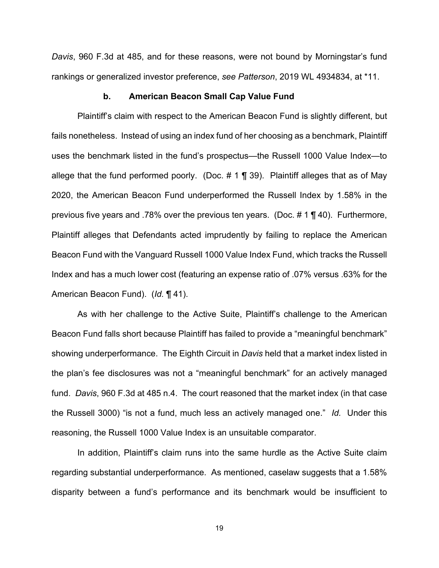*Davis*, 960 F.3d at 485, and for these reasons, were not bound by Morningstar's fund rankings or generalized investor preference, *see Patterson*, 2019 WL 4934834, at \*11.

#### **b. American Beacon Small Cap Value Fund**

Plaintiff's claim with respect to the American Beacon Fund is slightly different, but fails nonetheless. Instead of using an index fund of her choosing as a benchmark, Plaintiff uses the benchmark listed in the fund's prospectus—the Russell 1000 Value Index—to allege that the fund performed poorly. (Doc.  $\# 1 \P 39$ ). Plaintiff alleges that as of May 2020, the American Beacon Fund underperformed the Russell Index by 1.58% in the previous five years and .78% over the previous ten years. (Doc. # 1 ¶ 40). Furthermore, Plaintiff alleges that Defendants acted imprudently by failing to replace the American Beacon Fund with the Vanguard Russell 1000 Value Index Fund, which tracks the Russell Index and has a much lower cost (featuring an expense ratio of .07% versus .63% for the American Beacon Fund). (*Id.* ¶ 41).

 As with her challenge to the Active Suite, Plaintiff's challenge to the American Beacon Fund falls short because Plaintiff has failed to provide a "meaningful benchmark" showing underperformance. The Eighth Circuit in *Davis* held that a market index listed in the plan's fee disclosures was not a "meaningful benchmark" for an actively managed fund. *Davis*, 960 F.3d at 485 n.4. The court reasoned that the market index (in that case the Russell 3000) "is not a fund, much less an actively managed one." *Id.* Under this reasoning, the Russell 1000 Value Index is an unsuitable comparator.

In addition, Plaintiff's claim runs into the same hurdle as the Active Suite claim regarding substantial underperformance. As mentioned, caselaw suggests that a 1.58% disparity between a fund's performance and its benchmark would be insufficient to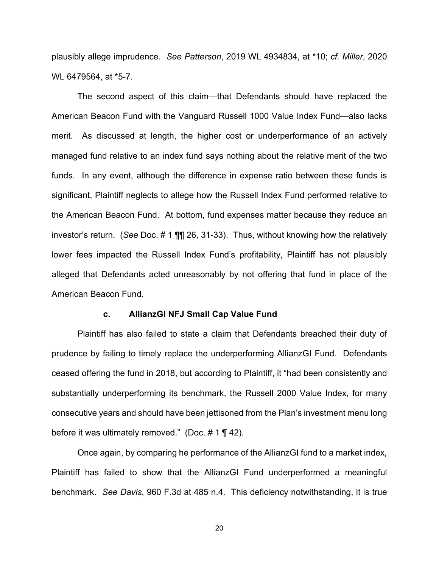plausibly allege imprudence. *See Patterson*, 2019 WL 4934834, at \*10; *cf. Miller*, 2020 WL 6479564, at \*5-7.

The second aspect of this claim—that Defendants should have replaced the American Beacon Fund with the Vanguard Russell 1000 Value Index Fund—also lacks merit. As discussed at length, the higher cost or underperformance of an actively managed fund relative to an index fund says nothing about the relative merit of the two funds. In any event, although the difference in expense ratio between these funds is significant, Plaintiff neglects to allege how the Russell Index Fund performed relative to the American Beacon Fund. At bottom, fund expenses matter because they reduce an investor's return. (*See* Doc. # 1 ¶¶ 26, 31-33). Thus, without knowing how the relatively lower fees impacted the Russell Index Fund's profitability, Plaintiff has not plausibly alleged that Defendants acted unreasonably by not offering that fund in place of the American Beacon Fund.

#### **c. AllianzGI NFJ Small Cap Value Fund**

 Plaintiff has also failed to state a claim that Defendants breached their duty of prudence by failing to timely replace the underperforming AllianzGI Fund. Defendants ceased offering the fund in 2018, but according to Plaintiff, it "had been consistently and substantially underperforming its benchmark, the Russell 2000 Value Index, for many consecutive years and should have been jettisoned from the Plan's investment menu long before it was ultimately removed." (Doc.  $\# 1 \P 42$ ).

Once again, by comparing he performance of the AllianzGI fund to a market index, Plaintiff has failed to show that the AllianzGI Fund underperformed a meaningful benchmark. *See Davis*, 960 F.3d at 485 n.4. This deficiency notwithstanding, it is true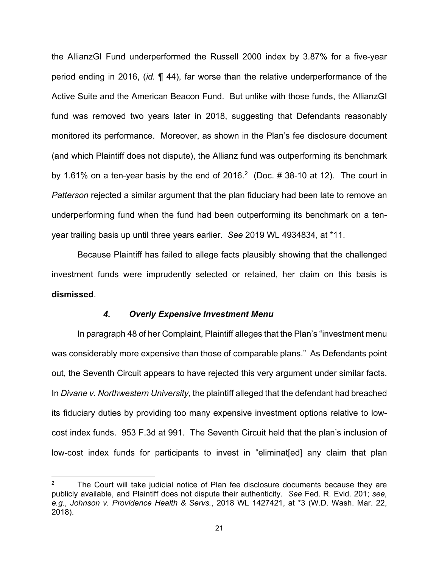the AllianzGI Fund underperformed the Russell 2000 index by 3.87% for a five-year period ending in 2016, (*id.* ¶ 44), far worse than the relative underperformance of the Active Suite and the American Beacon Fund. But unlike with those funds, the AllianzGI fund was removed two years later in 2018, suggesting that Defendants reasonably monitored its performance. Moreover, as shown in the Plan's fee disclosure document (and which Plaintiff does not dispute), the Allianz fund was outperforming its benchmark by 1.61% on a ten-year basis by the end of 2016.<sup>2</sup> (Doc.  $\#$  38-10 at 12). The court in *Patterson* rejected a similar argument that the plan fiduciary had been late to remove an underperforming fund when the fund had been outperforming its benchmark on a tenyear trailing basis up until three years earlier. *See* 2019 WL 4934834, at \*11.

Because Plaintiff has failed to allege facts plausibly showing that the challenged investment funds were imprudently selected or retained, her claim on this basis is **dismissed**.

#### *4. Overly Expensive Investment Menu*

In paragraph 48 of her Complaint, Plaintiff alleges that the Plan's "investment menu was considerably more expensive than those of comparable plans." As Defendants point out, the Seventh Circuit appears to have rejected this very argument under similar facts. In *Divane v. Northwestern University*, the plaintiff alleged that the defendant had breached its fiduciary duties by providing too many expensive investment options relative to lowcost index funds. 953 F.3d at 991. The Seventh Circuit held that the plan's inclusion of low-cost index funds for participants to invest in "eliminat[ed] any claim that plan

The Court will take judicial notice of Plan fee disclosure documents because they are publicly available, and Plaintiff does not dispute their authenticity. *See* Fed. R. Evid. 201; *see, e.g.*, *Johnson v. Providence Health & Servs.*, 2018 WL 1427421, at \*3 (W.D. Wash. Mar. 22, 2018).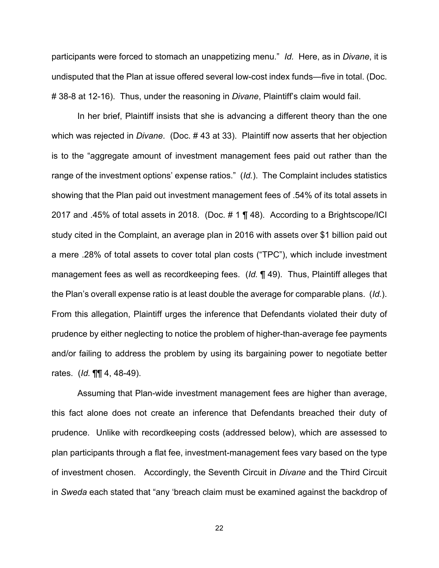participants were forced to stomach an unappetizing menu." *Id.* Here, as in *Divane*, it is undisputed that the Plan at issue offered several low-cost index funds—five in total. (Doc. # 38-8 at 12-16). Thus, under the reasoning in *Divane*, Plaintiff's claim would fail.

In her brief, Plaintiff insists that she is advancing a different theory than the one which was rejected in *Divane*. (Doc. # 43 at 33). Plaintiff now asserts that her objection is to the "aggregate amount of investment management fees paid out rather than the range of the investment options' expense ratios." (*Id.*). The Complaint includes statistics showing that the Plan paid out investment management fees of .54% of its total assets in 2017 and .45% of total assets in 2018. (Doc. # 1 ¶ 48). According to a Brightscope/ICI study cited in the Complaint, an average plan in 2016 with assets over \$1 billion paid out a mere .28% of total assets to cover total plan costs ("TPC"), which include investment management fees as well as recordkeeping fees. (*Id.* ¶ 49). Thus, Plaintiff alleges that the Plan's overall expense ratio is at least double the average for comparable plans. (*Id.*). From this allegation, Plaintiff urges the inference that Defendants violated their duty of prudence by either neglecting to notice the problem of higher-than-average fee payments and/or failing to address the problem by using its bargaining power to negotiate better rates. (*Id.* ¶¶ 4, 48-49).

 Assuming that Plan-wide investment management fees are higher than average, this fact alone does not create an inference that Defendants breached their duty of prudence. Unlike with recordkeeping costs (addressed below), which are assessed to plan participants through a flat fee, investment-management fees vary based on the type of investment chosen. Accordingly, the Seventh Circuit in *Divane* and the Third Circuit in *Sweda* each stated that "any 'breach claim must be examined against the backdrop of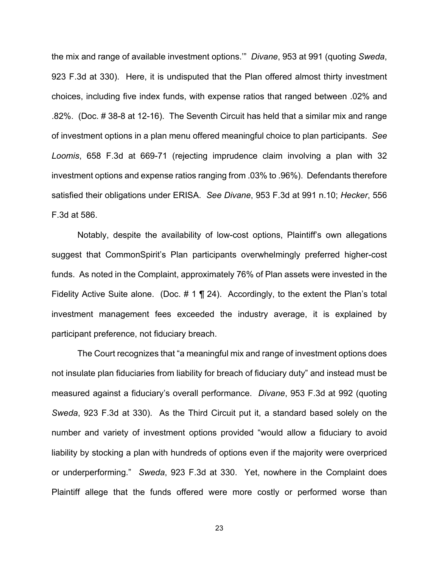the mix and range of available investment options.'" *Divane*, 953 at 991 (quoting *Sweda*, 923 F.3d at 330). Here, it is undisputed that the Plan offered almost thirty investment choices, including five index funds, with expense ratios that ranged between .02% and .82%. (Doc. # 38-8 at 12-16). The Seventh Circuit has held that a similar mix and range of investment options in a plan menu offered meaningful choice to plan participants. *See Loomis*, 658 F.3d at 669-71 (rejecting imprudence claim involving a plan with 32 investment options and expense ratios ranging from .03% to .96%). Defendants therefore satisfied their obligations under ERISA. *See Divane*, 953 F.3d at 991 n.10; *Hecker*, 556 F.3d at 586.

Notably, despite the availability of low-cost options, Plaintiff's own allegations suggest that CommonSpirit's Plan participants overwhelmingly preferred higher-cost funds. As noted in the Complaint, approximately 76% of Plan assets were invested in the Fidelity Active Suite alone. (Doc.  $\# 1 \P 24$ ). Accordingly, to the extent the Plan's total investment management fees exceeded the industry average, it is explained by participant preference, not fiduciary breach.

 The Court recognizes that "a meaningful mix and range of investment options does not insulate plan fiduciaries from liability for breach of fiduciary duty" and instead must be measured against a fiduciary's overall performance. *Divane*, 953 F.3d at 992 (quoting *Sweda*, 923 F.3d at 330). As the Third Circuit put it, a standard based solely on the number and variety of investment options provided "would allow a fiduciary to avoid liability by stocking a plan with hundreds of options even if the majority were overpriced or underperforming." *Sweda*, 923 F.3d at 330. Yet, nowhere in the Complaint does Plaintiff allege that the funds offered were more costly or performed worse than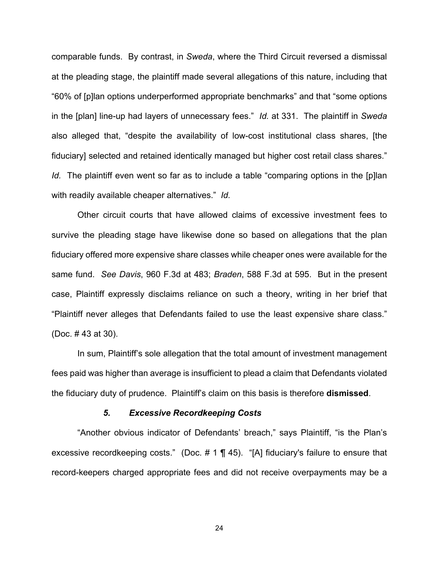comparable funds. By contrast, in *Sweda*, where the Third Circuit reversed a dismissal at the pleading stage, the plaintiff made several allegations of this nature, including that "60% of [p]lan options underperformed appropriate benchmarks" and that "some options in the [plan] line-up had layers of unnecessary fees." *Id.* at 331. The plaintiff in *Sweda*  also alleged that, "despite the availability of low-cost institutional class shares, [the fiduciary] selected and retained identically managed but higher cost retail class shares." *Id.* The plaintiff even went so far as to include a table "comparing options in the [p]lan with readily available cheaper alternatives." *Id.* 

Other circuit courts that have allowed claims of excessive investment fees to survive the pleading stage have likewise done so based on allegations that the plan fiduciary offered more expensive share classes while cheaper ones were available for the same fund. *See Davis*, 960 F.3d at 483; *Braden*, 588 F.3d at 595. But in the present case, Plaintiff expressly disclaims reliance on such a theory, writing in her brief that "Plaintiff never alleges that Defendants failed to use the least expensive share class." (Doc. # 43 at 30).

In sum, Plaintiff's sole allegation that the total amount of investment management fees paid was higher than average is insufficient to plead a claim that Defendants violated the fiduciary duty of prudence. Plaintiff's claim on this basis is therefore **dismissed**.

#### *5. Excessive Recordkeeping Costs*

"Another obvious indicator of Defendants' breach," says Plaintiff, "is the Plan's excessive recordkeeping costs." (Doc. # 1 ¶ 45). "[A] fiduciary's failure to ensure that record-keepers charged appropriate fees and did not receive overpayments may be a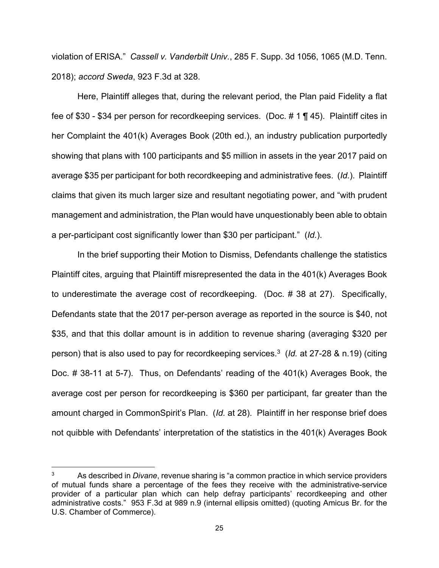violation of ERISA." *Cassell v. Vanderbilt Univ.*, 285 F. Supp. 3d 1056, 1065 (M.D. Tenn. 2018); *accord Sweda*, 923 F.3d at 328.

Here, Plaintiff alleges that, during the relevant period, the Plan paid Fidelity a flat fee of \$30 - \$34 per person for recordkeeping services. (Doc. # 1 ¶ 45). Plaintiff cites in her Complaint the 401(k) Averages Book (20th ed.), an industry publication purportedly showing that plans with 100 participants and \$5 million in assets in the year 2017 paid on average \$35 per participant for both recordkeeping and administrative fees. (*Id.*). Plaintiff claims that given its much larger size and resultant negotiating power, and "with prudent management and administration, the Plan would have unquestionably been able to obtain a per-participant cost significantly lower than \$30 per participant." (*Id.*).

 In the brief supporting their Motion to Dismiss, Defendants challenge the statistics Plaintiff cites, arguing that Plaintiff misrepresented the data in the 401(k) Averages Book to underestimate the average cost of recordkeeping. (Doc. # 38 at 27). Specifically, Defendants state that the 2017 per-person average as reported in the source is \$40, not \$35, and that this dollar amount is in addition to revenue sharing (averaging \$320 per person) that is also used to pay for recordkeeping services.3 (*Id.* at 27-28 & n.19) (citing Doc. # 38-11 at 5-7). Thus, on Defendants' reading of the 401(k) Averages Book, the average cost per person for recordkeeping is \$360 per participant, far greater than the amount charged in CommonSpirit's Plan. (*Id.* at 28). Plaintiff in her response brief does not quibble with Defendants' interpretation of the statistics in the 401(k) Averages Book

<sup>3</sup> As described in *Divane*, revenue sharing is "a common practice in which service providers of mutual funds share a percentage of the fees they receive with the administrative-service provider of a particular plan which can help defray participants' recordkeeping and other administrative costs." 953 F.3d at 989 n.9 (internal ellipsis omitted) (quoting Amicus Br. for the U.S. Chamber of Commerce).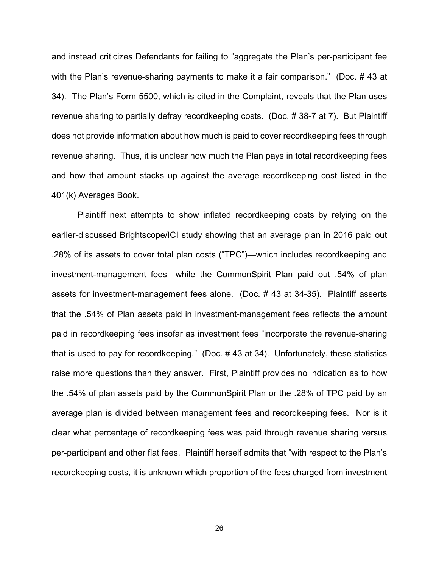and instead criticizes Defendants for failing to "aggregate the Plan's per-participant fee with the Plan's revenue-sharing payments to make it a fair comparison." (Doc. #43 at 34). The Plan's Form 5500, which is cited in the Complaint, reveals that the Plan uses revenue sharing to partially defray recordkeeping costs. (Doc. # 38-7 at 7). But Plaintiff does not provide information about how much is paid to cover recordkeeping fees through revenue sharing. Thus, it is unclear how much the Plan pays in total recordkeeping fees and how that amount stacks up against the average recordkeeping cost listed in the 401(k) Averages Book.

 Plaintiff next attempts to show inflated recordkeeping costs by relying on the earlier-discussed Brightscope/ICI study showing that an average plan in 2016 paid out .28% of its assets to cover total plan costs ("TPC")—which includes recordkeeping and investment-management fees—while the CommonSpirit Plan paid out .54% of plan assets for investment-management fees alone. (Doc. # 43 at 34-35). Plaintiff asserts that the .54% of Plan assets paid in investment-management fees reflects the amount paid in recordkeeping fees insofar as investment fees "incorporate the revenue-sharing that is used to pay for recordkeeping." (Doc. # 43 at 34). Unfortunately, these statistics raise more questions than they answer. First, Plaintiff provides no indication as to how the .54% of plan assets paid by the CommonSpirit Plan or the .28% of TPC paid by an average plan is divided between management fees and recordkeeping fees. Nor is it clear what percentage of recordkeeping fees was paid through revenue sharing versus per-participant and other flat fees. Plaintiff herself admits that "with respect to the Plan's recordkeeping costs, it is unknown which proportion of the fees charged from investment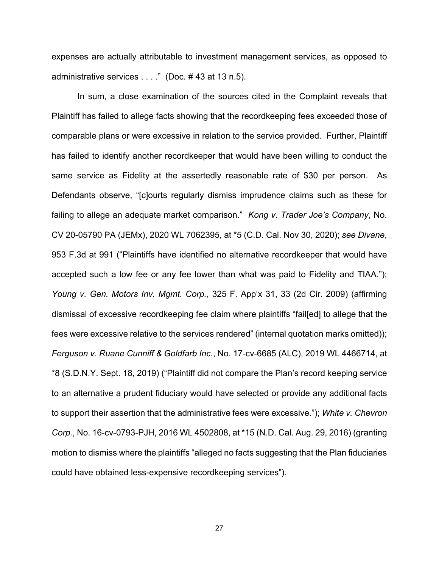expenses are actually attributable to investment management services, as opposed to administrative services . . . ." (Doc. # 43 at 13 n.5).

In sum, a close examination of the sources cited in the Complaint reveals that Plaintiff has failed to allege facts showing that the recordkeeping fees exceeded those of comparable plans or were excessive in relation to the service provided. Further, Plaintiff has failed to identify another recordkeeper that would have been willing to conduct the same service as Fidelity at the assertedly reasonable rate of \$30 per person. As Defendants observe, "[c]ourts regularly dismiss imprudence claims such as these for failing to allege an adequate market comparison." *Kong v. Trader Joe's Company*, No. CV 20-05790 PA (JEMx), 2020 WL 7062395, at \*5 (C.D. Cal. Nov 30, 2020); *see Divane*, 953 F.3d at 991 ("Plaintiffs have identified no alternative recordkeeper that would have accepted such a low fee or any fee lower than what was paid to Fidelity and TIAA."); *Young v. Gen. Motors Inv. Mgmt. Corp.*, 325 F. App'x 31, 33 (2d Cir. 2009) (affirming dismissal of excessive recordkeeping fee claim where plaintiffs "fail[ed] to allege that the fees were excessive relative to the services rendered" (internal quotation marks omitted)); *Ferguson v. Ruane Cunniff & Goldfarb Inc.*, No. 17-cv-6685 (ALC), 2019 WL 4466714, at \*8 (S.D.N.Y. Sept. 18, 2019) ("Plaintiff did not compare the Plan's record keeping service to an alternative a prudent fiduciary would have selected or provide any additional facts to support their assertion that the administrative fees were excessive."); *White v. Chevron Corp.*, No. 16-cv-0793-PJH, 2016 WL 4502808, at \*15 (N.D. Cal. Aug. 29, 2016) (granting motion to dismiss where the plaintiffs "alleged no facts suggesting that the Plan fiduciaries could have obtained less-expensive recordkeeping services").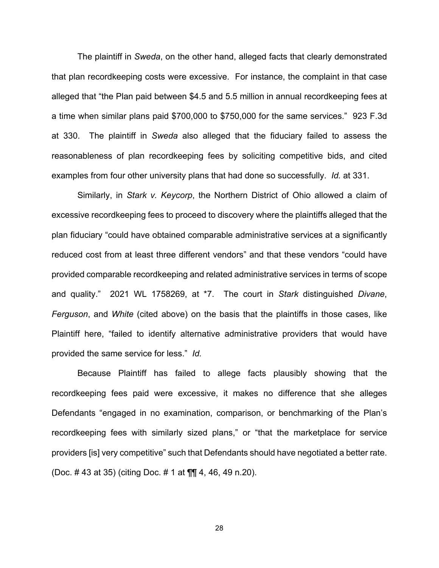The plaintiff in *Sweda*, on the other hand, alleged facts that clearly demonstrated that plan recordkeeping costs were excessive. For instance, the complaint in that case alleged that "the Plan paid between \$4.5 and 5.5 million in annual recordkeeping fees at a time when similar plans paid \$700,000 to \$750,000 for the same services." 923 F.3d at 330. The plaintiff in *Sweda* also alleged that the fiduciary failed to assess the reasonableness of plan recordkeeping fees by soliciting competitive bids, and cited examples from four other university plans that had done so successfully. *Id.* at 331.

Similarly, in *Stark v. Keycorp*, the Northern District of Ohio allowed a claim of excessive recordkeeping fees to proceed to discovery where the plaintiffs alleged that the plan fiduciary "could have obtained comparable administrative services at a significantly reduced cost from at least three different vendors" and that these vendors "could have provided comparable recordkeeping and related administrative services in terms of scope and quality." 2021 WL 1758269, at \*7. The court in *Stark* distinguished *Divane*, *Ferguson*, and *White* (cited above) on the basis that the plaintiffs in those cases, like Plaintiff here, "failed to identify alternative administrative providers that would have provided the same service for less." *Id.* 

Because Plaintiff has failed to allege facts plausibly showing that the recordkeeping fees paid were excessive, it makes no difference that she alleges Defendants "engaged in no examination, comparison, or benchmarking of the Plan's recordkeeping fees with similarly sized plans," or "that the marketplace for service providers [is] very competitive" such that Defendants should have negotiated a better rate. (Doc. # 43 at 35) (citing Doc. # 1 at ¶¶ 4, 46, 49 n.20).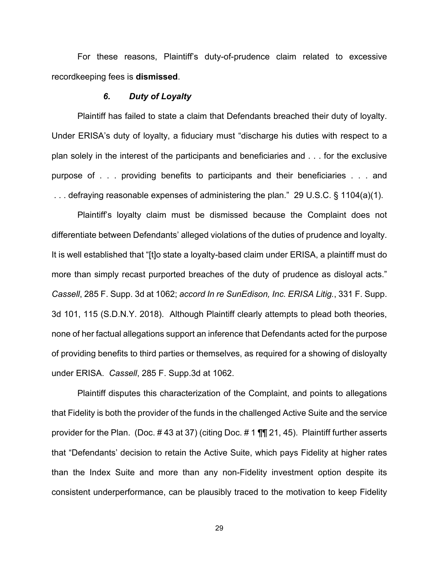For these reasons, Plaintiff's duty-of-prudence claim related to excessive recordkeeping fees is **dismissed**.

#### *6. Duty of Loyalty*

Plaintiff has failed to state a claim that Defendants breached their duty of loyalty. Under ERISA's duty of loyalty, a fiduciary must "discharge his duties with respect to a plan solely in the interest of the participants and beneficiaries and . . . for the exclusive purpose of . . . providing benefits to participants and their beneficiaries . . . and . . . defraying reasonable expenses of administering the plan." 29 U.S.C. § 1104(a)(1).

Plaintiff's loyalty claim must be dismissed because the Complaint does not differentiate between Defendants' alleged violations of the duties of prudence and loyalty. It is well established that "[t]o state a loyalty-based claim under ERISA, a plaintiff must do more than simply recast purported breaches of the duty of prudence as disloyal acts." *Cassell*, 285 F. Supp. 3d at 1062; *accord In re SunEdison, Inc. ERISA Litig.*, 331 F. Supp. 3d 101, 115 (S.D.N.Y. 2018). Although Plaintiff clearly attempts to plead both theories, none of her factual allegations support an inference that Defendants acted for the purpose of providing benefits to third parties or themselves, as required for a showing of disloyalty under ERISA. *Cassell*, 285 F. Supp.3d at 1062.

 Plaintiff disputes this characterization of the Complaint, and points to allegations that Fidelity is both the provider of the funds in the challenged Active Suite and the service provider for the Plan. (Doc. # 43 at 37) (citing Doc. # 1 ¶¶ 21, 45). Plaintiff further asserts that "Defendants' decision to retain the Active Suite, which pays Fidelity at higher rates than the Index Suite and more than any non-Fidelity investment option despite its consistent underperformance, can be plausibly traced to the motivation to keep Fidelity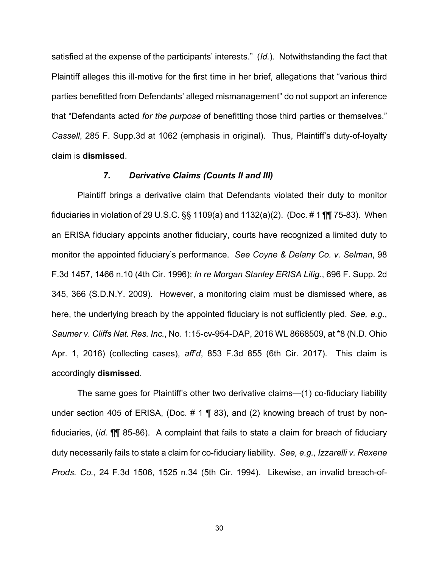satisfied at the expense of the participants' interests." (*Id.*). Notwithstanding the fact that Plaintiff alleges this ill-motive for the first time in her brief, allegations that "various third parties benefitted from Defendants' alleged mismanagement" do not support an inference that "Defendants acted *for the purpose* of benefitting those third parties or themselves." *Cassell*, 285 F. Supp.3d at 1062 (emphasis in original). Thus, Plaintiff's duty-of-loyalty claim is **dismissed**.

#### *7. Derivative Claims (Counts II and III)*

Plaintiff brings a derivative claim that Defendants violated their duty to monitor fiduciaries in violation of 29 U.S.C.  $\S$  1109(a) and 1132(a)(2). (Doc. #1  $\P$   $\P$  75-83). When an ERISA fiduciary appoints another fiduciary, courts have recognized a limited duty to monitor the appointed fiduciary's performance. *See Coyne & Delany Co. v. Selman*, 98 F.3d 1457, 1466 n.10 (4th Cir. 1996); *In re Morgan Stanley ERISA Litig.*, 696 F. Supp. 2d 345, 366 (S.D.N.Y. 2009). However, a monitoring claim must be dismissed where, as here, the underlying breach by the appointed fiduciary is not sufficiently pled. *See, e.g.*, *Saumer v. Cliffs Nat. Res. Inc.*, No. 1:15-cv-954-DAP, 2016 WL 8668509, at \*8 (N.D. Ohio Apr. 1, 2016) (collecting cases), *aff'd*, 853 F.3d 855 (6th Cir. 2017). This claim is accordingly **dismissed**.

 The same goes for Plaintiff's other two derivative claims—(1) co-fiduciary liability under section 405 of ERISA, (Doc.  $\#$  1 ¶ 83), and (2) knowing breach of trust by nonfiduciaries, (*id.* ¶¶ 85-86). A complaint that fails to state a claim for breach of fiduciary duty necessarily fails to state a claim for co-fiduciary liability. *See, e.g., Izzarelli v. Rexene Prods. Co.*, 24 F.3d 1506, 1525 n.34 (5th Cir. 1994). Likewise, an invalid breach-of-